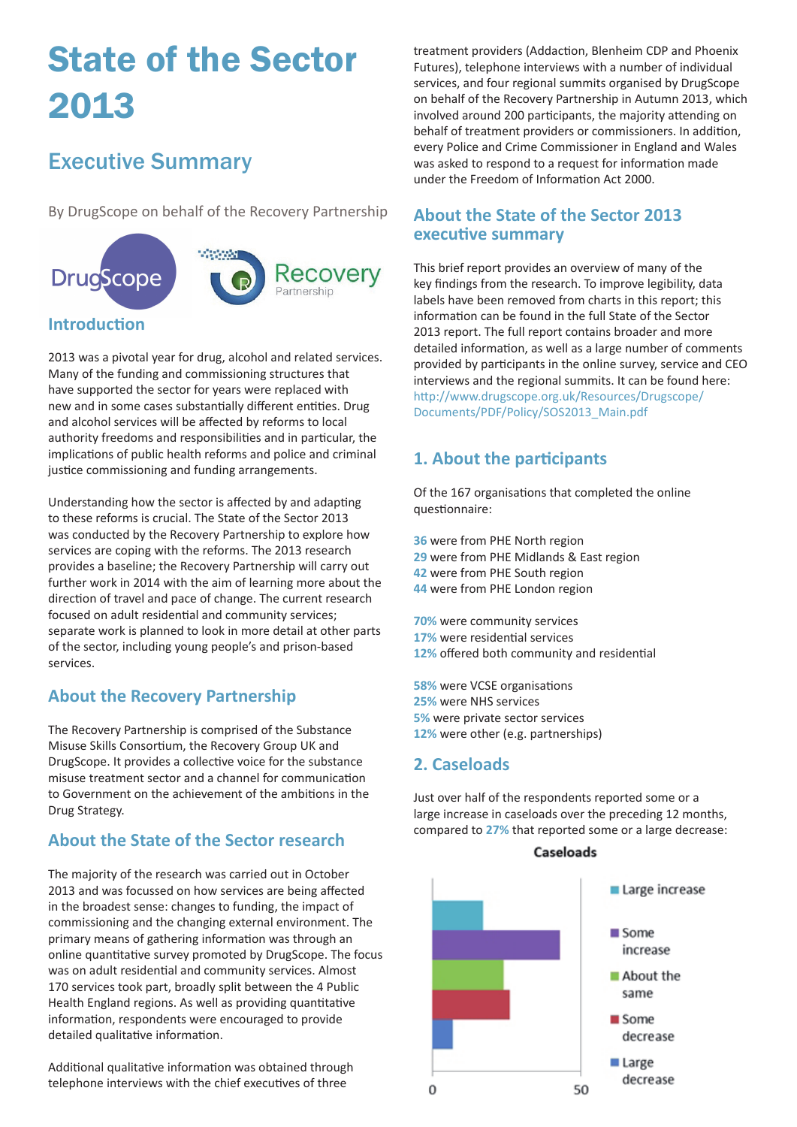# State of the Sector 2013

# Executive Summary

By DrugScope on behalf of the Recovery Partnership



2013 was a pivotal year for drug, alcohol and related services. Many of the funding and commissioning structures that have supported the sector for years were replaced with new and in some cases substantially different entities. Drug and alcohol services will be affected by reforms to local authority freedoms and responsibilities and in particular, the implications of public health reforms and police and criminal justice commissioning and funding arrangements.

Understanding how the sector is affected by and adapting to these reforms is crucial. The State of the Sector 2013 was conducted by the Recovery Partnership to explore how services are coping with the reforms. The 2013 research provides a baseline; the Recovery Partnership will carry out further work in 2014 with the aim of learning more about the direction of travel and pace of change. The current research focused on adult residential and community services; separate work is planned to look in more detail at other parts of the sector, including young people's and prison-based services.

## **About the Recovery Partnership**

The Recovery Partnership is comprised of the Substance Misuse Skills Consortium, the Recovery Group UK and DrugScope. It provides a collective voice for the substance misuse treatment sector and a channel for communication to Government on the achievement of the ambitions in the Drug Strategy.

#### **About the State of the Sector research**

The majority of the research was carried out in October 2013 and was focussed on how services are being affected in the broadest sense: changes to funding, the impact of commissioning and the changing external environment. The primary means of gathering information was through an online quantitative survey promoted by DrugScope. The focus was on adult residential and community services. Almost 170 services took part, broadly split between the 4 Public Health England regions. As well as providing quantitative information, respondents were encouraged to provide detailed qualitative information.

Additional qualitative information was obtained through telephone interviews with the chief executives of three

treatment providers (Addaction, Blenheim CDP and Phoenix Futures), telephone interviews with a number of individual services, and four regional summits organised by DrugScope on behalf of the Recovery Partnership in Autumn 2013, which involved around 200 participants, the majority attending on behalf of treatment providers or commissioners. In addition, every Police and Crime Commissioner in England and Wales was asked to respond to a request for information made under the Freedom of Information Act 2000.

#### **About the State of the Sector 2013 executive summary**

This brief report provides an overview of many of the key findings from the research. To improve legibility, data labels have been removed from charts in this report; this information can be found in the full State of the Sector 2013 report. The full report contains broader and more detailed information, as well as a large number of comments provided by participants in the online survey, service and CEO interviews and the regional summits. It can be found here: [http://www.drugscope.org.uk/Resources/Drugscope/](http://www.drugscope.org.uk/Resources/Drugscope/Documents/PDF/Policy/SOS2013_Main.pdf) [Documents/PDF/Policy/SOS2013\\_Main.pdf](http://www.drugscope.org.uk/Resources/Drugscope/Documents/PDF/Policy/SOS2013_Main.pdf)

### **1. About the participants**

Of the 167 organisations that completed the online questionnaire:

- **36** were from PHE North region
- **29** were from PHE Midlands & East region
- **42** were from PHE South region
- **44** were from PHE London region

**70%** were community services **17%** were residential services **12%** offered both community and residential

**58%** were VCSE organisations **25%** were NHS services **5%** were private sector services **12%** were other (e.g. partnerships)

#### **2. Caseloads**

Just over half of the respondents reported some or a large increase in caseloads over the preceding 12 months, compared to **27%** that reported some or a large decrease:



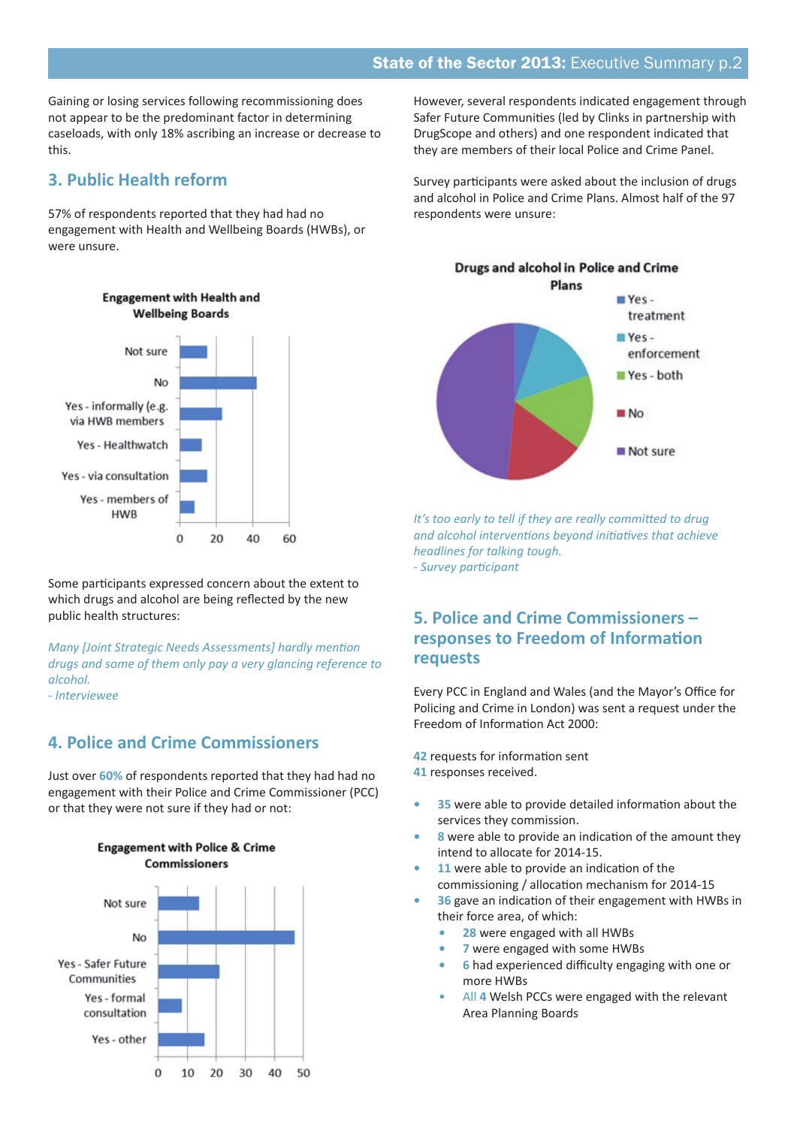Gaining or losing services following recommissioning does not appear to be the predominant factor in determining caseloads, with only 18% ascribing an increase or decrease to this.

#### **3. Public Health reform**

57% of respondents reported that they had had no engagement with Health and Wellbeing Boards (HWBs), or were unsure.



Some participants expressed concern about the extent to which drugs and alcohol are being reflected by the new public health structures:

*Many [Joint Strategic Needs Assessments] hardly mention drugs and some of them only pay a very glancing reference to alcohol. - Interviewee*

**4. Police and Crime Commissioners**

Just over **60%** of respondents reported that they had had no engagement with their Police and Crime Commissioner (PCC) or that they were not sure if they had or not:



**Engagement with Police & Crime** Commissioners

However, several respondents indicated engagement through Safer Future Communities (led by Clinks in partnership with DrugScope and others) and one respondent indicated that they are members of their local Police and Crime Panel.

Survey participants were asked about the inclusion of drugs and alcohol in Police and Crime Plans. Almost half of the 97 respondents were unsure:



*It's too early to tell if they are really committed to drug and alcohol interventions beyond initiatives that achieve headlines for talking tough. - Survey participant*

#### **5. Police and Crime Commissioners – responses to Freedom of Information requests**

Every PCC in England and Wales (and the Mayor's Office for Policing and Crime in London) was sent a request under the Freedom of Information Act 2000:

**42** requests for information sent **41** responses received.

- **• 35** were able to provide detailed information about the services they commission.
- **• 8** were able to provide an indication of the amount they intend to allocate for 2014-15.
- **11** were able to provide an indication of the commissioning / allocation mechanism for 2014-15
- **• 36** gave an indication of their engagement with HWBs in their force area, of which:
	- **• 28** were engaged with all HWBs
	- **• 7** were engaged with some HWBs
	- **• 6** had experienced difficulty engaging with one or more HWBs
	- All 4 Welsh PCCs were engaged with the relevant Area Planning Boards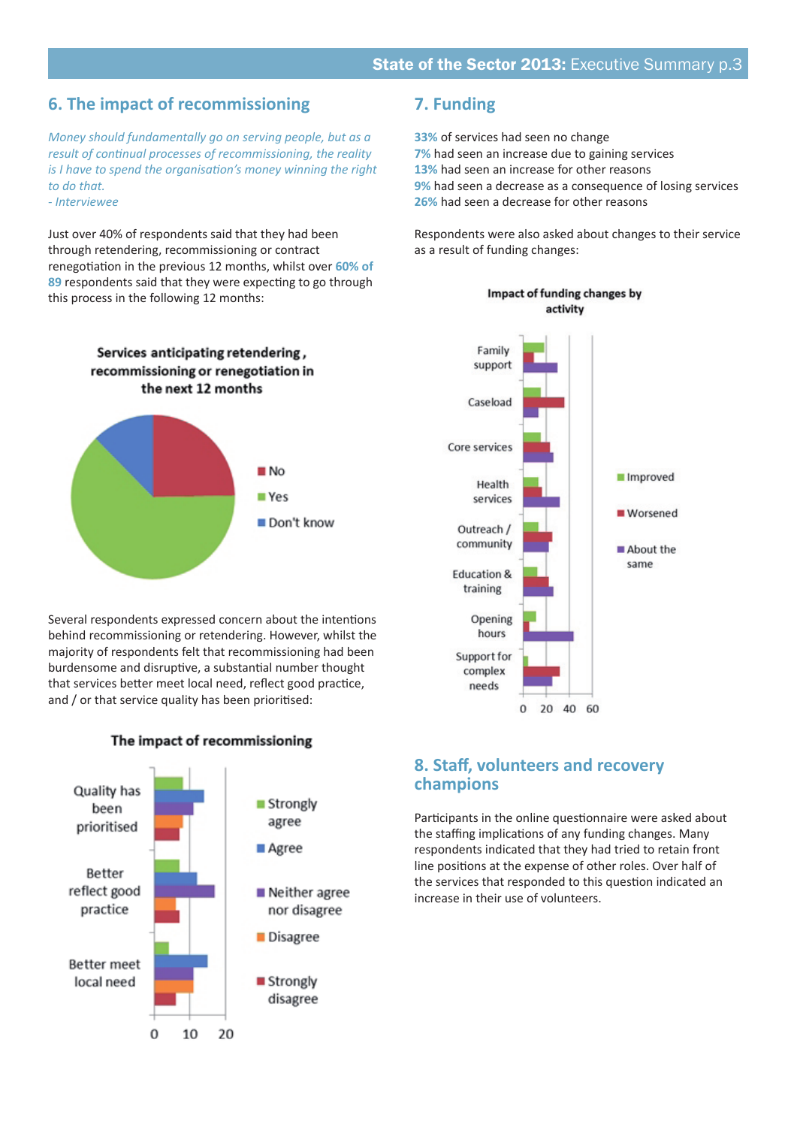#### **6. The impact of recommissioning**

*Money should fundamentally go on serving people, but as a result of continual processes of recommissioning, the reality is I have to spend the organisation's money winning the right to do that. - Interviewee*

Just over 40% of respondents said that they had been through retendering, recommissioning or contract renegotiation in the previous 12 months, whilst over **60% of 89** respondents said that they were expecting to go through this process in the following 12 months:

> Services anticipating retendering, recommissioning or renegotiation in the next 12 months



Several respondents expressed concern about the intentions behind recommissioning or retendering. However, whilst the majority of respondents felt that recommissioning had been burdensome and disruptive, a substantial number thought that services better meet local need, reflect good practice, and / or that service quality has been prioritised:



The impact of recommissioning

#### **7. Funding**

**33%** of services had seen no change **7%** had seen an increase due to gaining services **13%** had seen an increase for other reasons **9%** had seen a decrease as a consequence of losing services **26%** had seen a decrease for other reasons

Respondents were also asked about changes to their service as a result of funding changes:



#### Impact of funding changes by activity

#### **8. Staff, volunteers and recovery champions**

Participants in the online questionnaire were asked about the staffing implications of any funding changes. Many respondents indicated that they had tried to retain front line positions at the expense of other roles. Over half of the services that responded to this question indicated an increase in their use of volunteers.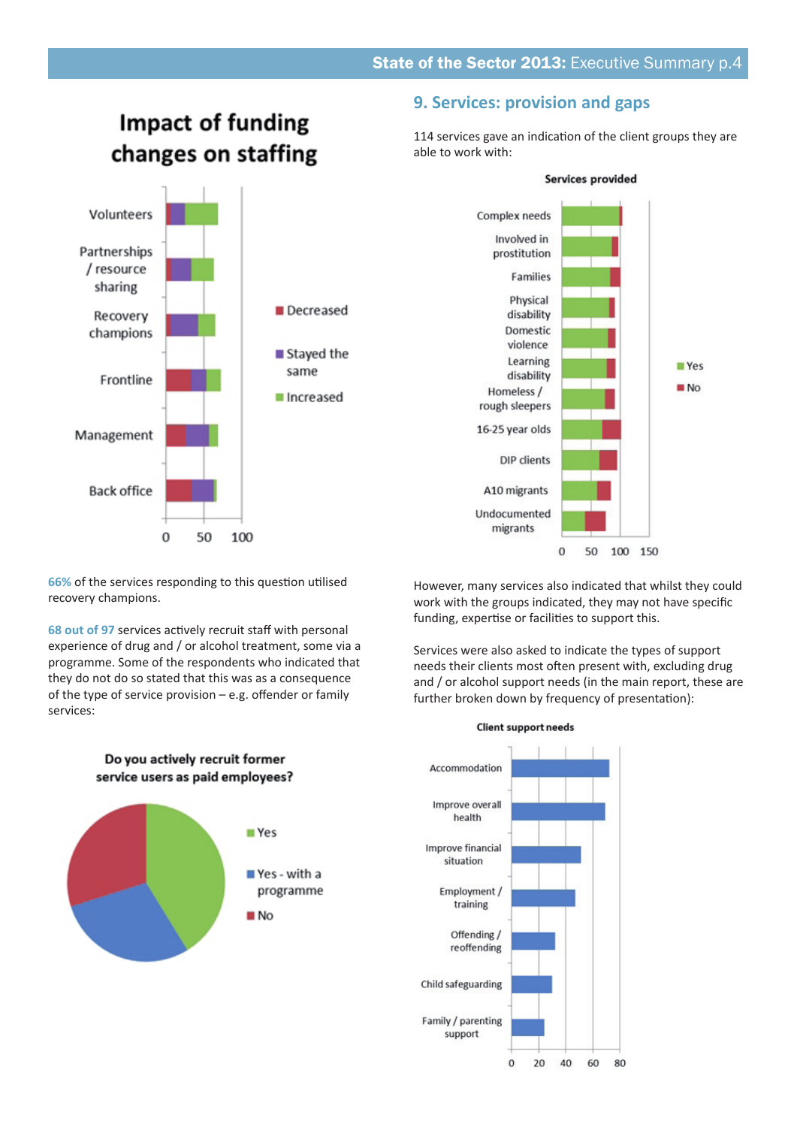## **Impact of funding** changes on staffing Volunteers Partnerships / resource sharing Decreased Recovery champions ■ Stayed the same Frontline ■ Increased Management **Back office**

#### **9. Services: provision and gaps**

114 services gave an indication of the client groups they are able to work with:



**66%** of the services responding to this question utilised recovery champions.

50

100

 $\theta$ 

**68 out of 97** services actively recruit staff with personal experience of drug and / or alcohol treatment, some via a programme. Some of the respondents who indicated that they do not do so stated that this was as a consequence of the type of service provision – e.g. offender or family services:

However, many services also indicated that whilst they could work with the groups indicated, they may not have specific funding, expertise or facilities to support this.

Services were also asked to indicate the types of support needs their clients most often present with, excluding drug and / or alcohol support needs (in the main report, these are further broken down by frequency of presentation):



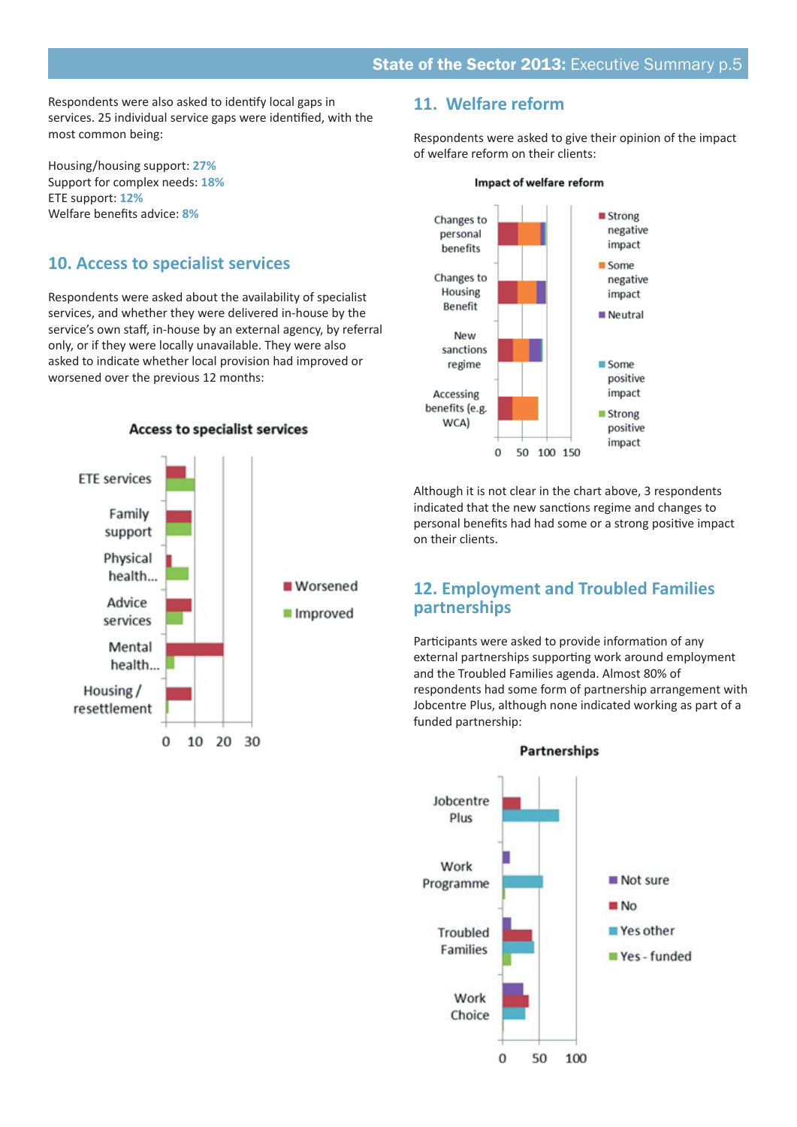Respondents were also asked to identify local gaps in services. 25 individual service gaps were identified, with the most common being:

Housing/housing support: **27%** Support for complex needs: **18%** ETE support: **12%** Welfare benefits advice: **8%**

#### **10. Access to specialist services**

Respondents were asked about the availability of specialist services, and whether they were delivered in-house by the service's own staff, in-house by an external agency, by referral only, or if they were locally unavailable. They were also asked to indicate whether local provision had improved or worsened over the previous 12 months:



**Access to specialist services** 

#### **11. Welfare reform**

Respondents were asked to give their opinion of the impact of welfare reform on their clients:



Although it is not clear in the chart above, 3 respondents indicated that the new sanctions regime and changes to personal benefits had had some or a strong positive impact on their clients.

#### **12. Employment and Troubled Families partnerships**

Participants were asked to provide information of any external partnerships supporting work around employment and the Troubled Families agenda. Almost 80% of respondents had some form of partnership arrangement with Jobcentre Plus, although none indicated working as part of a funded partnership: